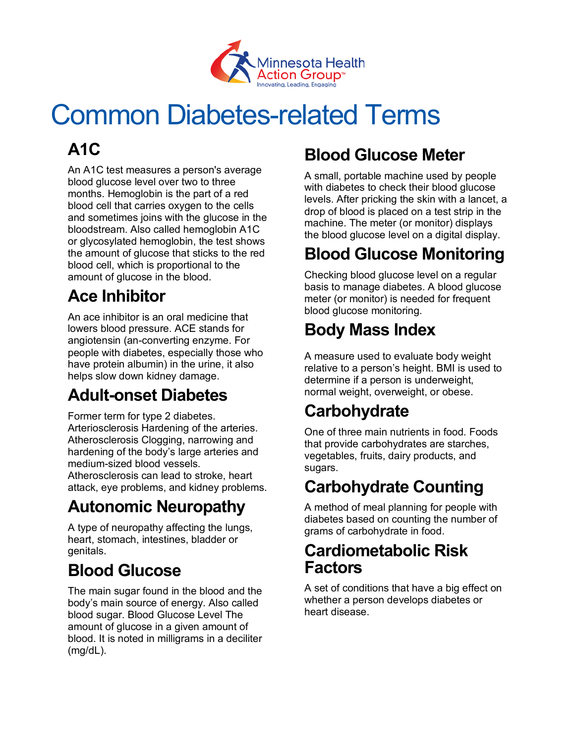

# Common Diabetes-related Terms

# **A1C**

An A1C test measures a person's average blood glucose level over two to three months. Hemoglobin is the part of a red blood cell that carries oxygen to the cells and sometimes joins with the glucose in the bloodstream. Also called hemoglobin A1C or glycosylated hemoglobin, the test shows the amount of glucose that sticks to the red blood cell, which is proportional to the amount of glucose in the blood.

## **Ace Inhibitor**

An ace inhibitor is an oral medicine that lowers blood pressure. ACE stands for angiotensin (an-converting enzyme. For people with diabetes, especially those who have protein albumin) in the urine, it also helps slow down kidney damage.

## **Adult-onset Diabetes**

Former term for type 2 diabetes. Arteriosclerosis Hardening of the arteries. Atherosclerosis Clogging, narrowing and hardening of the body's large arteries and medium-sized blood vessels. Atherosclerosis can lead to stroke, heart

attack, eye problems, and kidney problems.

## **Autonomic Neuropathy**

A type of neuropathy affecting the lungs, heart, stomach, intestines, bladder or genitals.

## **Blood Glucose**

The main sugar found in the blood and the body's main source of energy. Also called blood sugar. Blood Glucose Level The amount of glucose in a given amount of blood. It is noted in milligrams in a deciliter (mg/dL).

## **Blood Glucose Meter**

A small, portable machine used by people with diabetes to check their blood glucose levels. After pricking the skin with a lancet, a drop of blood is placed on a test strip in the machine. The meter (or monitor) displays the blood glucose level on a digital display.

## **Blood Glucose Monitoring**

Checking blood glucose level on a regular basis to manage diabetes. A blood glucose meter (or monitor) is needed for frequent blood glucose monitoring.

# **Body Mass Index**

A measure used to evaluate body weight relative to a person's height. BMI is used to determine if a person is underweight, normal weight, overweight, or obese.

#### **Carbohydrate**

One of three main nutrients in food. Foods that provide carbohydrates are starches, vegetables, fruits, dairy products, and sugars.

#### **Carbohydrate Counting**

A method of meal planning for people with diabetes based on counting the number of grams of carbohydrate in food.

#### **Cardiometabolic Risk Factors**

A set of conditions that have a big effect on whether a person develops diabetes or heart disease.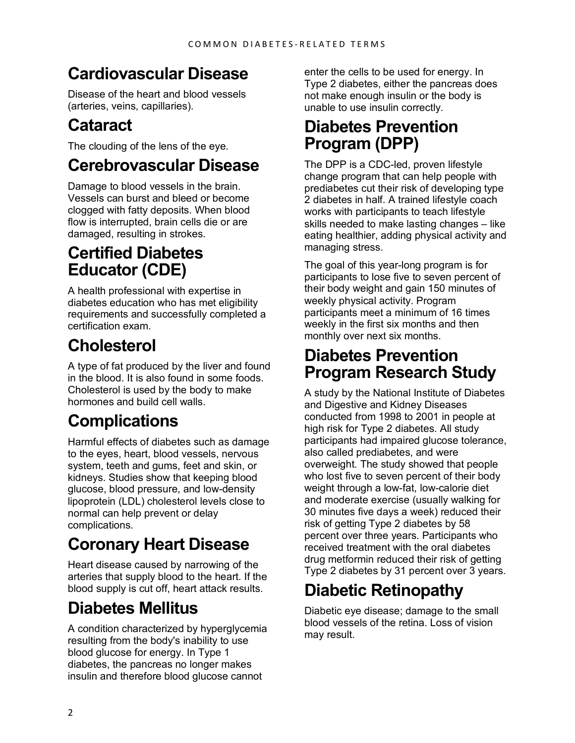#### **Cardiovascular Disease**

Disease of the heart and blood vessels (arteries, veins, capillaries).

## **Cataract**

The clouding of the lens of the eye.

#### **Cerebrovascular Disease**

Damage to blood vessels in the brain. Vessels can burst and bleed or become clogged with fatty deposits. When blood flow is interrupted, brain cells die or are damaged, resulting in strokes.

#### **Certified Diabetes Educator (CDE)**

A health professional with expertise in diabetes education who has met eligibility requirements and successfully completed a certification exam.

# **Cholesterol**

A type of fat produced by the liver and found in the blood. It is also found in some foods. Cholesterol is used by the body to make hormones and build cell walls.

# **Complications**

Harmful effects of diabetes such as damage to the eyes, heart, blood vessels, nervous system, teeth and gums, feet and skin, or kidneys. Studies show that keeping blood glucose, blood pressure, and low-density lipoprotein (LDL) cholesterol levels close to normal can help prevent or delay complications.

## **Coronary Heart Disease**

Heart disease caused by narrowing of the arteries that supply blood to the heart. If the blood supply is cut off, heart attack results.

## **Diabetes Mellitus**

A condition characterized by hyperglycemia resulting from the body's inability to use blood glucose for energy. In Type 1 diabetes, the pancreas no longer makes insulin and therefore blood glucose cannot

enter the cells to be used for energy. In Type 2 diabetes, either the pancreas does not make enough insulin or the body is unable to use insulin correctly.

#### **Diabetes Prevention Program (DPP)**

The DPP is a CDC-led, proven lifestyle change program that can help people with prediabetes cut their risk of developing type 2 diabetes in half. A trained lifestyle coach works with participants to teach lifestyle skills needed to make lasting changes – like eating healthier, adding physical activity and managing stress.

The goal of this year-long program is for participants to lose five to seven percent of their body weight and gain 150 minutes of weekly physical activity. Program participants meet a minimum of 16 times weekly in the first six months and then monthly over next six months.

#### **Diabetes Prevention Program Research Study**

A study by the National Institute of Diabetes and Digestive and Kidney Diseases conducted from 1998 to 2001 in people at high risk for Type 2 diabetes. All study participants had impaired glucose tolerance, also called prediabetes, and were overweight. The study showed that people who lost five to seven percent of their body weight through a low-fat, low-calorie diet and moderate exercise (usually walking for 30 minutes five days a week) reduced their risk of getting Type 2 diabetes by 58 percent over three years. Participants who received treatment with the oral diabetes drug metformin reduced their risk of getting Type 2 diabetes by 31 percent over 3 years.

## **Diabetic Retinopathy**

Diabetic eye disease; damage to the small blood vessels of the retina. Loss of vision may result.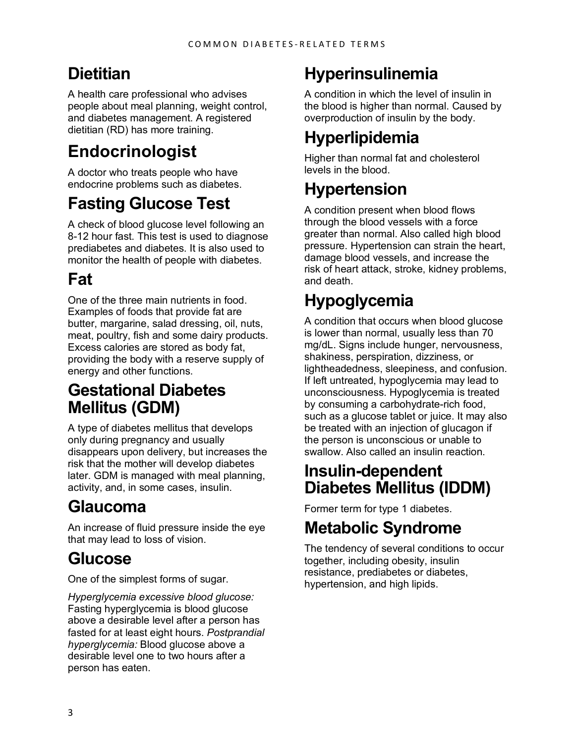## **Dietitian**

A health care professional who advises people about meal planning, weight control, and diabetes management. A registered dietitian (RD) has more training.

## **Endocrinologist**

A doctor who treats people who have endocrine problems such as diabetes.

#### **Fasting Glucose Test**

A check of blood glucose level following an 8-12 hour fast. This test is used to diagnose prediabetes and diabetes. It is also used to monitor the health of people with diabetes.

#### **Fat**

One of the three main nutrients in food. Examples of foods that provide fat are butter, margarine, salad dressing, oil, nuts, meat, poultry, fish and some dairy products. Excess calories are stored as body fat, providing the body with a reserve supply of energy and other functions.

#### **Gestational Diabetes Mellitus (GDM)**

A type of diabetes mellitus that develops only during pregnancy and usually disappears upon delivery, but increases the risk that the mother will develop diabetes later. GDM is managed with meal planning, activity, and, in some cases, insulin.

#### **Glaucoma**

An increase of fluid pressure inside the eye that may lead to loss of vision.

#### **Glucose**

One of the simplest forms of sugar.

*Hyperglycemia excessive blood glucose:* Fasting hyperglycemia is blood glucose above a desirable level after a person has fasted for at least eight hours. *Postprandial hyperglycemia:* Blood glucose above a desirable level one to two hours after a person has eaten.

## **Hyperinsulinemia**

A condition in which the level of insulin in the blood is higher than normal. Caused by overproduction of insulin by the body.

# **Hyperlipidemia**

Higher than normal fat and cholesterol levels in the blood.

#### **Hypertension**

A condition present when blood flows through the blood vessels with a force greater than normal. Also called high blood pressure. Hypertension can strain the heart, damage blood vessels, and increase the risk of heart attack, stroke, kidney problems, and death.

# **Hypoglycemia**

A condition that occurs when blood glucose is lower than normal, usually less than 70 mg/dL. Signs include hunger, nervousness, shakiness, perspiration, dizziness, or lightheadedness, sleepiness, and confusion. If left untreated, hypoglycemia may lead to unconsciousness. Hypoglycemia is treated by consuming a carbohydrate-rich food, such as a glucose tablet or juice. It may also be treated with an injection of glucagon if the person is unconscious or unable to swallow. Also called an insulin reaction.

#### **Insulin-dependent Diabetes Mellitus (IDDM)**

Former term for type 1 diabetes.

#### **Metabolic Syndrome**

The tendency of several conditions to occur together, including obesity, insulin resistance, prediabetes or diabetes, hypertension, and high lipids.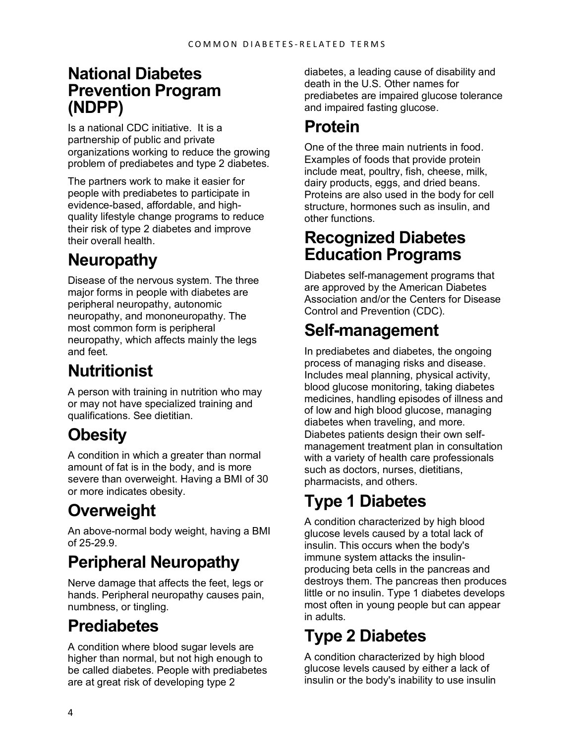#### **National Diabetes Prevention Program (NDPP)**

Is a national CDC initiative. It is a partnership of public and private organizations working to reduce the growing problem of prediabetes and type 2 diabetes.

The partners work to make it easier for people with prediabetes to participate in evidence-based, affordable, and highquality lifestyle change programs to reduce their risk of type 2 diabetes and improve their overall health.

# **Neuropathy**

Disease of the nervous system. The three major forms in people with diabetes are peripheral neuropathy, autonomic neuropathy, and mononeuropathy. The most common form is peripheral neuropathy, which affects mainly the legs and feet.

#### **Nutritionist**

A person with training in nutrition who may or may not have specialized training and qualifications. See dietitian.

#### **Obesity**

A condition in which a greater than normal amount of fat is in the body, and is more severe than overweight. Having a BMI of 30 or more indicates obesity.

# **Overweight**

An above-normal body weight, having a BMI of 25-29.9.

#### **Peripheral Neuropathy**

Nerve damage that affects the feet, legs or hands. Peripheral neuropathy causes pain, numbness, or tingling.

#### **Prediabetes**

A condition where blood sugar levels are higher than normal, but not high enough to be called diabetes. People with prediabetes are at great risk of developing type 2

diabetes, a leading cause of disability and death in the U.S. Other names for prediabetes are impaired glucose tolerance and impaired fasting glucose.

#### **Protein**

One of the three main nutrients in food. Examples of foods that provide protein include meat, poultry, fish, cheese, milk, dairy products, eggs, and dried beans. Proteins are also used in the body for cell structure, hormones such as insulin, and other functions.

#### **Recognized Diabetes Education Programs**

Diabetes self-management programs that are approved by the American Diabetes Association and/or the Centers for Disease Control and Prevention (CDC).

## **Self-management**

In prediabetes and diabetes, the ongoing process of managing risks and disease. Includes meal planning, physical activity, blood glucose monitoring, taking diabetes medicines, handling episodes of illness and of low and high blood glucose, managing diabetes when traveling, and more. Diabetes patients design their own selfmanagement treatment plan in consultation with a variety of health care professionals such as doctors, nurses, dietitians, pharmacists, and others.

# **Type 1 Diabetes**

A condition characterized by high blood glucose levels caused by a total lack of insulin. This occurs when the body's immune system attacks the insulinproducing beta cells in the pancreas and destroys them. The pancreas then produces little or no insulin. Type 1 diabetes develops most often in young people but can appear in adults.

## **Type 2 Diabetes**

A condition characterized by high blood glucose levels caused by either a lack of insulin or the body's inability to use insulin